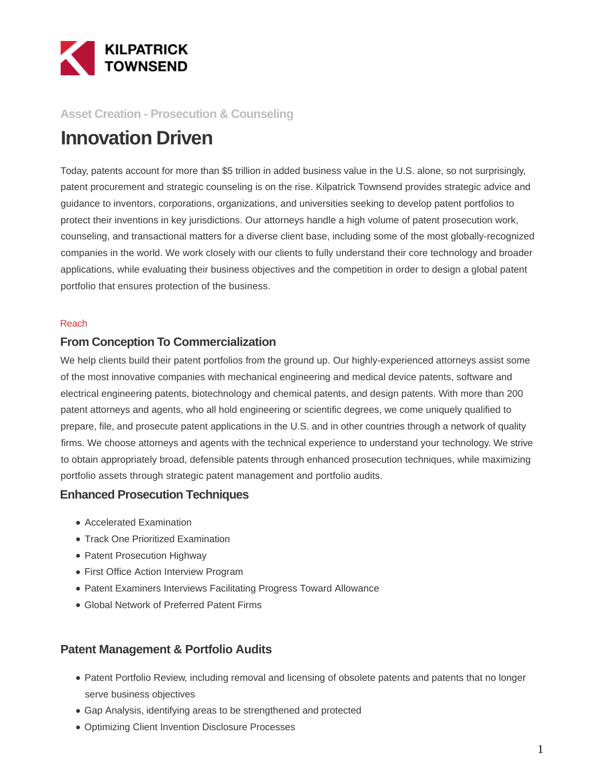

### **Asset Creation - Prosecution & Counseling**

# **Innovation Driven**

Today, patents account for more than \$5 trillion in added business value in the U.S. alone, so not surprisingly, patent procurement and strategic counseling is on the rise. Kilpatrick Townsend provides strategic advice and guidance to inventors, corporations, organizations, and universities seeking to develop patent portfolios to protect their inventions in key jurisdictions. Our attorneys handle a high volume of patent prosecution work, counseling, and transactional matters for a diverse client base, including some of the most globally-recognized companies in the world. We work closely with our clients to fully understand their core technology and broader applications, while evaluating their business objectives and the competition in order to design a global patent portfolio that ensures protection of the business.

#### Reach

#### **From Conception To Commercialization**

We help clients build their patent portfolios from the ground up. Our highly-experienced attorneys assist some of the most innovative companies with mechanical engineering and medical device patents, software and electrical engineering patents, biotechnology and chemical patents, and design patents. With more than 200 patent attorneys and agents, who all hold engineering or scientific degrees, we come uniquely qualified to prepare, file, and prosecute patent applications in the U.S. and in other countries through a network of quality firms. We choose attorneys and agents with the technical experience to understand your technology. We strive to obtain appropriately broad, defensible patents through enhanced prosecution techniques, while maximizing portfolio assets through strategic patent management and portfolio audits.

#### **Enhanced Prosecution Techniques**

- Accelerated Examination
- Track One Prioritized Examination
- Patent Prosecution Highway
- First Office Action Interview Program
- Patent Examiners Interviews Facilitating Progress Toward Allowance
- Global Network of Preferred Patent Firms

#### **Patent Management & Portfolio Audits**

- Patent Portfolio Review, including removal and licensing of obsolete patents and patents that no longer serve business objectives
- Gap Analysis, identifying areas to be strengthened and protected
- Optimizing Client Invention Disclosure Processes